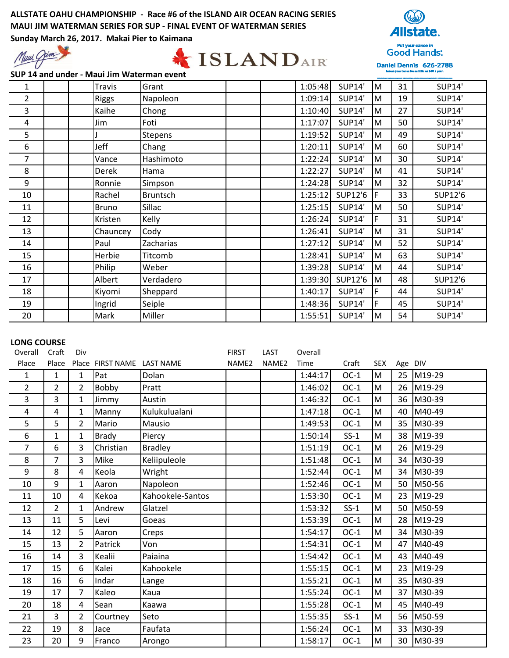## **ALLSTATE OAHU CHAMPIONSHIP - Race #6 of the ISLAND AIR OCEAN RACING SERIES MAUI JIM WATERMAN SERIES FOR SUP - FINAL EVENT OF WATERMAN SERIES Sunday March 26, 2017. Makai Pier to Kaimana**



**SUP 14 and under - Maui Jim Waterman event**

Maui Gim



11 | | |Bruno |Sillac | | | | |1:25:15 SUP14' |M | 50 | SUP14' Kristen Kelly 1:26:24 SUP14' F 31 SUP14' Chauncey Cody 1:26:41 SUP14' M 31 SUP14' 14 | | | |Paul |Zacharias | | | |1:27:12 SUP14' |M | 52 | SUP14' Herbie Titcomb 1:28:41 SUP14' M 63 SUP14' 16 | | |Philip |Weber | | | 1:39:28 SUP14' |M | 44 | SUP14' 17 | | |Albert |Verdadero | | | 1:39:30 SUP12'6 |M | 48 | SUP12'6 Kiyomi Sheppard 1:40:17 SUP14' F 44 SUP14' 19 | | |Ingrid |Seiple | | | | |1:48:36 SUP14' |F | 45 | SUP14' 20 | | |Mark |Miller | | | |1:55:51| SUP14' |M | 54 | SUP14'

|  | <b>LONG COURSE</b> |
|--|--------------------|
|--|--------------------|

| Overall        | Craft          | Div            |                            |                  | <b>FIRST</b>      | LAST              | Overall |        |            |         |        |
|----------------|----------------|----------------|----------------------------|------------------|-------------------|-------------------|---------|--------|------------|---------|--------|
| Place          | Place          |                | Place FIRST NAME LAST NAME |                  | NAME <sub>2</sub> | NAME <sub>2</sub> | Time    | Craft  | <b>SEX</b> | Age DIV |        |
| $\mathbf{1}$   | 1              | 1              | Pat                        | Dolan            |                   |                   | 1:44:17 | $OC-1$ | M          | 25      | M19-29 |
| $\overline{2}$ | 2              | $\overline{2}$ | Bobby                      | Pratt            |                   |                   | 1:46:02 | $OC-1$ | M          | 26      | M19-29 |
| 3              | 3              | $\mathbf{1}$   | Jimmy                      | Austin           |                   |                   | 1:46:32 | $OC-1$ | M          | 36      | M30-39 |
| 4              | 4              | $\mathbf{1}$   | Manny                      | Kulukulualani    |                   |                   | 1:47:18 | $OC-1$ | M          | 40      | M40-49 |
| 5              | 5              | $\overline{2}$ | Mario                      | Mausio           |                   |                   | 1:49:53 | $OC-1$ | M          | 35      | M30-39 |
| 6              | $\overline{1}$ | $\mathbf{1}$   | <b>Brady</b>               | Piercy           |                   |                   | 1:50:14 | $SS-1$ | M          | 38      | M19-39 |
| $\overline{7}$ | 6              | 3              | Christian                  | <b>Bradley</b>   |                   |                   | 1:51:19 | $OC-1$ | M          | 26      | M19-29 |
| 8              | 7              | 3              | Mike                       | Keliipuleole     |                   |                   | 1:51:48 | $OC-1$ | M          | 34      | M30-39 |
| 9              | 8              | 4              | Keola                      | Wright           |                   |                   | 1:52:44 | $OC-1$ | M          | 34      | M30-39 |
| 10             | 9              | $\mathbf{1}$   | Aaron                      | Napoleon         |                   |                   | 1:52:46 | $OC-1$ | M          | 50      | M50-56 |
| 11             | 10             | 4              | Kekoa                      | Kahookele-Santos |                   |                   | 1:53:30 | $OC-1$ | M          | 23      | M19-29 |
| 12             | $\overline{2}$ | $\mathbf{1}$   | Andrew                     | Glatzel          |                   |                   | 1:53:32 | $SS-1$ | M          | 50      | M50-59 |
| 13             | 11             | 5              | Levi                       | Goeas            |                   |                   | 1:53:39 | $OC-1$ | M          | 28      | M19-29 |
| 14             | 12             | 5              | Aaron                      | Creps            |                   |                   | 1:54:17 | $OC-1$ | M          | 34      | M30-39 |
| 15             | 13             | $\overline{2}$ | Patrick                    | Von              |                   |                   | 1:54:31 | $OC-1$ | M          | 47      | M40-49 |
| 16             | 14             | 3              | Kealii                     | Paiaina          |                   |                   | 1:54:42 | $OC-1$ | M          | 43      | M40-49 |
| 17             | 15             | 6              | Kalei                      | Kahookele        |                   |                   | 1:55:15 | $OC-1$ | M          | 23      | M19-29 |
| 18             | 16             | 6              | Indar                      | Lange            |                   |                   | 1:55:21 | $OC-1$ | M          | 35      | M30-39 |
| 19             | 17             | 7              | Kaleo                      | Kaua             |                   |                   | 1:55:24 | $OC-1$ | M          | 37      | M30-39 |
| 20             | 18             | 4              | Sean                       | Kaawa            |                   |                   | 1:55:28 | $OC-1$ | M          | 45      | M40-49 |
| 21             | 3              | 2              | Courtney                   | Seto             |                   |                   | 1:55:35 | $SS-1$ | M          | 56      | M50-59 |
| 22             | 19             | 8              | Jace                       | Faufata          |                   |                   | 1:56:24 | $OC-1$ | M          | 33      | M30-39 |
| 23             | 20             | 9              | Franco                     | Arongo           |                   |                   | 1:58:17 | $OC-1$ | M          | 30      | M30-39 |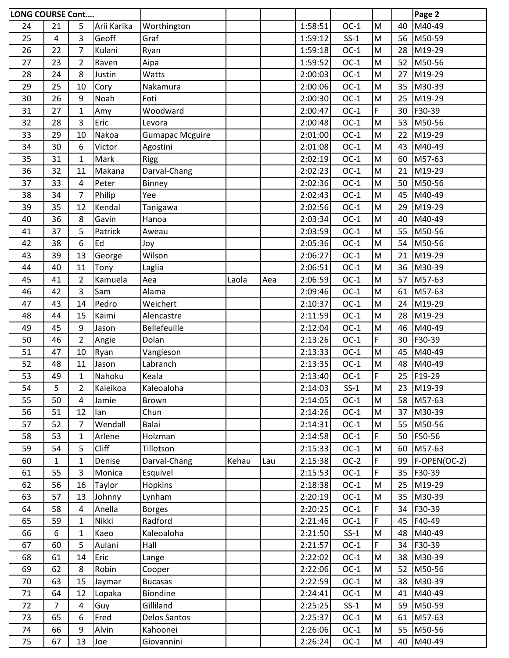| <b>LONG COURSE Cont</b> |                |                |              |                        |       |     |         |        | Page 2      |    |              |
|-------------------------|----------------|----------------|--------------|------------------------|-------|-----|---------|--------|-------------|----|--------------|
| 24                      | 21             | 5              | Arii Karika  | Worthington            |       |     | 1:58:51 | $OC-1$ | M           | 40 | M40-49       |
| 25                      | 4              | 3              | Geoff        | Graf                   |       |     | 1:59:12 | $SS-1$ | M           | 56 | M50-59       |
| 26                      | 22             | 7              | Kulani       | Ryan                   |       |     | 1:59:18 | $OC-1$ | M           | 28 | M19-29       |
| 27                      | 23             | $\overline{2}$ | Raven        | Aipa                   |       |     | 1:59:52 | $OC-1$ | M           | 52 | M50-56       |
| 28                      | 24             | 8              | Justin       | Watts                  |       |     | 2:00:03 | $OC-1$ | M           | 27 | M19-29       |
| 29                      | 25             | 10             | Cory         | Nakamura               |       |     | 2:00:06 | $OC-1$ | M           | 35 | M30-39       |
| 30                      | 26             | 9              | Noah         | Foti                   |       |     | 2:00:30 | $OC-1$ | M           | 25 | M19-29       |
| 31                      | 27             | 1              | Amy          | Woodward               |       |     | 2:00:47 | $OC-1$ | F           | 30 | F30-39       |
| 32                      | 28             | 3              | Eric         | Levora                 |       |     | 2:00:48 | $OC-1$ | M           | 53 | M50-56       |
| 33                      | 29             | 10             | Nakoa        | <b>Gumapac Mcguire</b> |       |     | 2:01:00 | $OC-1$ | M           | 22 | M19-29       |
| 34                      | 30             | 6              | Victor       | Agostini               |       |     | 2:01:08 | $OC-1$ | M           | 43 | M40-49       |
| 35                      | 31             | $\mathbf{1}$   | Mark         | <b>Rigg</b>            |       |     | 2:02:19 | $OC-1$ | M           | 60 | M57-63       |
| 36                      | 32             | 11             | Makana       | Darval-Chang           |       |     | 2:02:23 | $OC-1$ | M           | 21 | M19-29       |
| 37                      | 33             | 4              | Peter        | Binney                 |       |     | 2:02:36 | $OC-1$ | M           | 50 | M50-56       |
| 38                      | 34             | 7              | Philip       | Yee                    |       |     | 2:02:43 | $OC-1$ | M           | 45 | M40-49       |
| 39                      | 35             | 12             | Kendal       | Tanigawa               |       |     | 2:02:56 | $OC-1$ | M           | 29 | M19-29       |
| 40                      | 36             | 8              | Gavin        | Hanoa                  |       |     | 2:03:34 | $OC-1$ | M           | 40 | M40-49       |
| 41                      | 37             | 5              | Patrick      | Aweau                  |       |     | 2:03:59 | $OC-1$ | M           | 55 | M50-56       |
| 42                      | 38             | 6              | Ed           | Joy                    |       |     | 2:05:36 | $OC-1$ | M           | 54 | M50-56       |
| 43                      | 39             | 13             | George       | Wilson                 |       |     | 2:06:27 | $OC-1$ | M           | 21 | M19-29       |
| 44                      | 40             | 11             | Tony         | Laglia                 |       |     | 2:06:51 | $OC-1$ | M           | 36 | M30-39       |
| 45                      | 41             | 2              | Kamuela      | Aea                    | Laola | Aea | 2:06:59 | $OC-1$ | M           | 57 | M57-63       |
| 46                      | 42             | 3              | Sam          | Alama                  |       |     | 2:09:46 | $OC-1$ | M           | 61 | M57-63       |
| 47                      | 43             | 14             | Pedro        | Weichert               |       |     | 2:10:37 | $OC-1$ | M           | 24 | M19-29       |
| 48                      | 44             | 15             | Kaimi        | Alencastre             |       |     | 2:11:59 | $OC-1$ | M           | 28 | M19-29       |
| 49                      | 45             | 9              | Jason        | Bellefeuille           |       |     | 2:12:04 | $OC-1$ | M           | 46 | M40-49       |
| 50                      | 46             | 2              | Angie        | Dolan                  |       |     | 2:13:26 | $OC-1$ | F           | 30 | F30-39       |
| 51                      | 47             | 10             | Ryan         | Vangieson              |       |     | 2:13:33 | $OC-1$ | M           | 45 | M40-49       |
| 52                      | 48             | 11             | Jason        | Labranch               |       |     | 2:13:35 | $OC-1$ | M           | 48 | M40-49       |
| 53                      | 49             | $\mathbf{1}$   | Nahoku       | Keala                  |       |     | 2:13:40 | $OC-1$ | F           | 25 | F19-29       |
| 54                      | 5              | 2              | Kaleikoa     | Kaleoaloha             |       |     | 2:14:03 | $SS-1$ | M           | 23 | M19-39       |
| 55                      | 50             | 4              | Jamie        | <b>Brown</b>           |       |     | 2:14:05 | $OC-1$ | M           | 58 | M57-63       |
| 56                      | 51             | 12             | lan          | Chun                   |       |     | 2:14:26 | $OC-1$ | M           | 37 | M30-39       |
| 57                      | 52             | 7              | Wendall      | Balai                  |       |     | 2:14:31 | $OC-1$ | M           | 55 | M50-56       |
| 58                      | 53             | 1              | Arlene       | Holzman                |       |     | 2:14:58 | $OC-1$ | F           | 50 | F50-56       |
| 59                      | 54             | 5              | <b>Cliff</b> | Tillotson              |       |     | 2:15:33 | $OC-1$ | M           | 60 | M57-63       |
| 60                      | $\mathbf{1}$   | $\mathbf{1}$   | Denise       | Darval-Chang           | Kehau | Lau | 2:15:38 | $OC-2$ | $\mathsf F$ | 99 | F-OPEN(OC-2) |
| 61                      | 55             | 3              | Monica       | Esquivel               |       |     | 2:15:53 | $OC-1$ | F           | 35 | F30-39       |
| 62                      | 56             | 16             | Taylor       | Hopkins                |       |     | 2:18:38 | $OC-1$ | M           | 25 | M19-29       |
| 63                      | 57             | 13             | Johnny       | Lynham                 |       |     | 2:20:19 | $OC-1$ | M           | 35 | M30-39       |
| 64                      | 58             | 4              | Anella       | <b>Borges</b>          |       |     | 2:20:25 | $OC-1$ | F           | 34 | F30-39       |
| 65                      | 59             | 1              | Nikki        | Radford                |       |     | 2:21:46 | $OC-1$ | F           | 45 | F40-49       |
| 66                      | 6              | $\mathbf{1}$   | Kaeo         | Kaleoaloha             |       |     | 2:21:50 | $SS-1$ | M           | 48 | M40-49       |
| 67                      | 60             | 5              | Aulani       | Hall                   |       |     | 2:21:57 | $OC-1$ | F           | 34 | F30-39       |
| 68                      | 61             | 14             | Eric         | Lange                  |       |     | 2:22:02 | $OC-1$ | M           | 38 | M30-39       |
| 69                      | 62             | 8              | Robin        | Cooper                 |       |     | 2:22:06 | $OC-1$ | M           | 52 | M50-56       |
| 70                      | 63             | 15             | Jaymar       | <b>Bucasas</b>         |       |     | 2:22:59 | $OC-1$ | M           | 38 | M30-39       |
| 71                      | 64             | 12             | Lopaka       | Biondine               |       |     | 2:24:41 | $OC-1$ | M           | 41 | M40-49       |
| 72                      | $\overline{7}$ | 4              | Guy          | Gilliland              |       |     | 2:25:25 | $SS-1$ | M           | 59 | M50-59       |
| 73                      | 65             | 6              | Fred         | Delos Santos           |       |     | 2:25:37 | $OC-1$ | M           | 61 | M57-63       |
| 74                      | 66             | 9              | Alvin        | Kahoonei               |       |     | 2:26:06 | $OC-1$ | M           | 55 | M50-56       |
| 75                      | 67             | 13             | Joe          | Giovannini             |       |     | 2:26:24 | $OC-1$ | M           | 40 | M40-49       |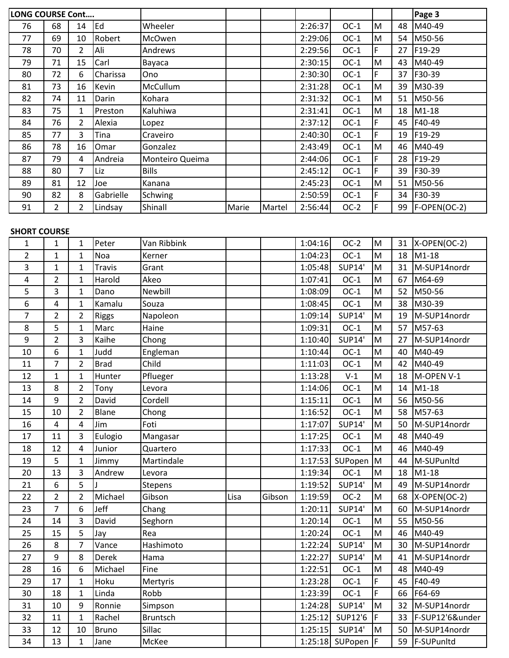| <b>LONG COURSE Cont</b> |    |    |           |                 |       |        |         |        |   |    | Page 3         |
|-------------------------|----|----|-----------|-----------------|-------|--------|---------|--------|---|----|----------------|
| 76                      | 68 | 14 | Ed        | Wheeler         |       |        | 2:26:37 | $OC-1$ | M | 48 | M40-49         |
| 77                      | 69 | 10 | Robert    | <b>McOwen</b>   |       |        | 2:29:06 | $OC-1$ | M | 54 | M50-56         |
| 78                      | 70 | 2  | Ali       | Andrews         |       |        | 2:29:56 | $OC-1$ | F | 27 | F19-29         |
| 79                      | 71 | 15 | Carl      | Bayaca          |       |        | 2:30:15 | $OC-1$ | M | 43 | M40-49         |
| 80                      | 72 | 6  | Charissa  | Ono             |       |        | 2:30:30 | $OC-1$ | F | 37 | F30-39         |
| 81                      | 73 | 16 | Kevin     | McCullum        |       |        | 2:31:28 | $OC-1$ | M | 39 | M30-39         |
| 82                      | 74 | 11 | Darin     | Kohara          |       |        | 2:31:32 | $OC-1$ | M | 51 | M50-56         |
| 83                      | 75 | 1  | Preston   | Kaluhiwa        |       |        | 2:31:41 | $OC-1$ | M |    | 18 M1-18       |
| 84                      | 76 | 2  | Alexia    | Lopez           |       |        | 2:37:12 | $OC-1$ | F | 45 | F40-49         |
| 85                      | 77 | 3  | Tina      | Craveiro        |       |        | 2:40:30 | $OC-1$ | F | 19 | F19-29         |
| 86                      | 78 | 16 | Omar      | Gonzalez        |       |        | 2:43:49 | $OC-1$ | M | 46 | M40-49         |
| 87                      | 79 | 4  | Andreia   | Monteiro Queima |       |        | 2:44:06 | $OC-1$ | F | 28 | F19-29         |
| 88                      | 80 | 7  | Liz       | <b>Bills</b>    |       |        | 2:45:12 | $OC-1$ | F | 39 | F30-39         |
| 89                      | 81 | 12 | Joe       | Kanana          |       |        | 2:45:23 | $OC-1$ | M | 51 | M50-56         |
| 90                      | 82 | 8  | Gabrielle | Schwing         |       |        | 2:50:59 | $OC-1$ | F | 34 | F30-39         |
| 91                      | 2  | 2  | Lindsay   | Shinall         | Marie | Martel | 2:56:44 | $OC-2$ | F | 99 | $F-OPEN(OC-2)$ |

## **SHORT COURSE**

| $\mathbf{1}$   | 1              | $\mathbf{1}$   | Peter         | Van Ribbink     |      |        | 1:04:16 | $OC-2$            | M                       | 31 | $X-OPEN(OC-2)$  |
|----------------|----------------|----------------|---------------|-----------------|------|--------|---------|-------------------|-------------------------|----|-----------------|
| $\overline{2}$ | $\mathbf{1}$   | $\mathbf{1}$   | Noa           | Kerner          |      |        | 1:04:23 | $OC-1$            | M                       | 18 | $M1-18$         |
| 3              | $\mathbf{1}$   | $\mathbf{1}$   | <b>Travis</b> | Grant           |      |        | 1:05:48 | <b>SUP14'</b>     | M                       | 31 | M-SUP14nordr    |
| 4              | $\overline{2}$ | 1              | Harold        | Akeo            |      |        | 1:07:41 | $OC-1$            | M                       | 67 | M64-69          |
| 5              | 3              | 1              | Dano          | Newbill         |      |        | 1:08:09 | $OC-1$            | M                       | 52 | M50-56          |
| 6              | 4              | $\mathbf{1}$   | Kamalu        | Souza           |      |        | 1:08:45 | $OC-1$            | M                       | 38 | M30-39          |
| 7              | $\overline{2}$ | 2              | <b>Riggs</b>  | Napoleon        |      |        | 1:09:14 | <b>SUP14'</b>     | M                       | 19 | M-SUP14nordr    |
| 8              | 5              | $\mathbf{1}$   | Marc          | Haine           |      |        | 1:09:31 | $OC-1$            | M                       | 57 | M57-63          |
| 9              | $\overline{2}$ | 3              | Kaihe         | Chong           |      |        | 1:10:40 | <b>SUP14'</b>     | M                       | 27 | M-SUP14nordr    |
| 10             | 6              | $\mathbf{1}$   | Judd          | Engleman        |      |        | 1:10:44 | $OC-1$            | M                       | 40 | M40-49          |
| 11             | $\overline{7}$ | $\overline{2}$ | <b>Brad</b>   | Child           |      |        | 1:11:03 | $OC-1$            | M                       | 42 | M40-49          |
| 12             | 1              | 1              | Hunter        | Pflueger        |      |        | 1:13:28 | $V-1$             | M                       | 18 | M-OPEN V-1      |
| 13             | 8              | $\overline{2}$ | Tony          | Levora          |      |        | 1:14:06 | $OC-1$            | M                       | 14 | M1-18           |
| 14             | 9              | $\overline{2}$ | David         | Cordell         |      |        | 1:15:11 | $OC-1$            | M                       | 56 | M50-56          |
| 15             | 10             | $\overline{2}$ | Blane         | Chong           |      |        | 1:16:52 | $OC-1$            | M                       | 58 | M57-63          |
| 16             | 4              | 4              | Jim           | Foti            |      |        | 1:17:07 | <b>SUP14'</b>     | M                       | 50 | M-SUP14nordr    |
| 17             | 11             | 3              | Eulogio       | Mangasar        |      |        | 1:17:25 | $OC-1$            | M                       | 48 | M40-49          |
| 18             | 12             | 4              | Junior        | Quartero        |      |        | 1:17:33 | $OC-1$            | M                       | 46 | M40-49          |
| 19             | 5              | $\mathbf{1}$   | Jimmy         | Martindale      |      |        | 1:17:53 | SUPopen           | <b>M</b>                | 44 | M-SUPunltd      |
| 20             | 13             | 3              | Andrew        | Levora          |      |        | 1:19:34 | $OC-1$            | M                       | 18 | $M1-18$         |
| 21             | 6              | 5              |               | <b>Stepens</b>  |      |        | 1:19:52 | <b>SUP14'</b>     | M                       | 49 | M-SUP14nordr    |
| 22             | $\overline{2}$ | $\overline{2}$ | Michael       | Gibson          | Lisa | Gibson | 1:19:59 | $OC-2$            | M                       | 68 | X-OPEN(OC-2)    |
| 23             | $\overline{7}$ | 6              | Jeff          | Chang           |      |        | 1:20:11 | <b>SUP14'</b>     | M                       | 60 | M-SUP14nordr    |
| 24             | 14             | 3              | David         | Seghorn         |      |        | 1:20:14 | $OC-1$            | M                       | 55 | M50-56          |
| 25             | 15             | 5              | Jay           | Rea             |      |        | 1:20:24 | $OC-1$            | M                       | 46 | M40-49          |
| 26             | 8              | $\overline{7}$ | Vance         | Hashimoto       |      |        | 1:22:24 | <b>SUP14'</b>     | M                       | 30 | M-SUP14nordr    |
| 27             | 9              | 8              | Derek         | Hama            |      |        | 1:22:27 | <b>SUP14'</b>     | M                       | 41 | M-SUP14nordr    |
| 28             | 16             | 6              | Michael       | Fine            |      |        | 1:22:51 | $OC-1$            | M                       | 48 | M40-49          |
| 29             | 17             | $\mathbf{1}$   | Hoku          | Mertyris        |      |        | 1:23:28 | $OC-1$            | F                       | 45 | F40-49          |
| 30             | 18             | $\mathbf{1}$   | Linda         | Robb            |      |        | 1:23:39 | $OC-1$            | F                       | 66 | F64-69          |
| 31             | 10             | 9              | Ronnie        | Simpson         |      |        | 1:24:28 | <b>SUP14'</b>     | M                       | 32 | M-SUP14nordr    |
| 32             | 11             | $\mathbf{1}$   | Rachel        | <b>Bruntsch</b> |      |        | 1:25:12 | SUP12'6           | F                       | 33 | F-SUP12'6&under |
| 33             | 12             | 10             | <b>Bruno</b>  | Sillac          |      |        | 1:25:15 | <b>SUP14'</b>     | Iм                      | 50 | M-SUP14nordr    |
| 34             | 13             | $\mathbf{1}$   | Jane          | McKee           |      |        |         | $1:25:18$ SUPopen | $\overline{\mathsf{F}}$ |    | 59 F-SUPunItd   |